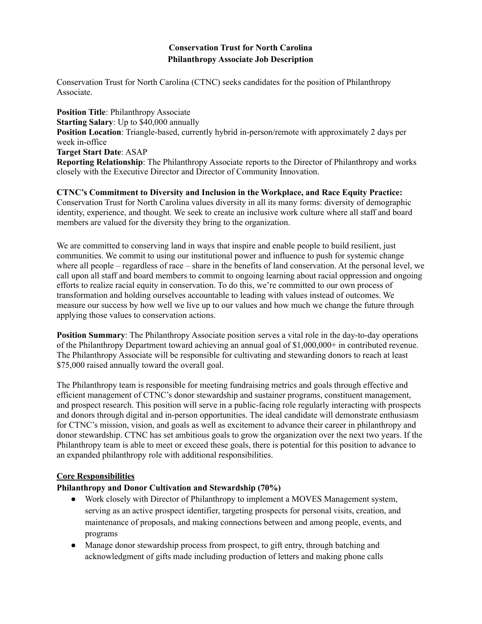### **Conservation Trust for North Carolina Philanthropy Associate Job Description**

Conservation Trust for North Carolina (CTNC) seeks candidates for the position of Philanthropy Associate.

**Position Title**: Philanthropy Associate **Starting Salary**: Up to \$40,000 annually **Position Location**: Triangle-based, currently hybrid in-person/remote with approximately 2 days per week in-office **Target Start Date**: ASAP **Reporting Relationship**: The Philanthropy Associate reports to the Director of Philanthropy and works closely with the Executive Director and Director of Community Innovation.

**CTNC's Commitment to Diversity and Inclusion in the Workplace, and Race Equity Practice:** Conservation Trust for North Carolina values diversity in all its many forms: diversity of demographic identity, experience, and thought. We seek to create an inclusive work culture where all staff and board members are valued for the diversity they bring to the organization.

We are committed to conserving land in ways that inspire and enable people to build resilient, just communities. We commit to using our institutional power and influence to push for systemic change where all people – regardless of race – share in the benefits of land conservation. At the personal level, we call upon all staff and board members to commit to ongoing learning about racial oppression and ongoing efforts to realize racial equity in conservation. To do this, we're committed to our own process of transformation and holding ourselves accountable to leading with values instead of outcomes. We measure our success by how well we live up to our values and how much we change the future through applying those values to conservation actions.

**Position Summary**: The Philanthropy Associate position serves a vital role in the day-to-day operations of the Philanthropy Department toward achieving an annual goal of \$1,000,000+ in contributed revenue. The Philanthropy Associate will be responsible for cultivating and stewarding donors to reach at least \$75,000 raised annually toward the overall goal.

The Philanthropy team is responsible for meeting fundraising metrics and goals through effective and efficient management of CTNC's donor stewardship and sustainer programs, constituent management, and prospect research. This position will serve in a public-facing role regularly interacting with prospects and donors through digital and in-person opportunities. The ideal candidate will demonstrate enthusiasm for CTNC's mission, vision, and goals as well as excitement to advance their career in philanthropy and donor stewardship. CTNC has set ambitious goals to grow the organization over the next two years. If the Philanthropy team is able to meet or exceed these goals, there is potential for this position to advance to an expanded philanthropy role with additional responsibilities.

### **Core Responsibilities**

### **Philanthropy and Donor Cultivation and Stewardship (70%)**

- Work closely with Director of Philanthropy to implement a MOVES Management system, serving as an active prospect identifier, targeting prospects for personal visits, creation, and maintenance of proposals, and making connections between and among people, events, and programs
- Manage donor stewardship process from prospect, to gift entry, through batching and acknowledgment of gifts made including production of letters and making phone calls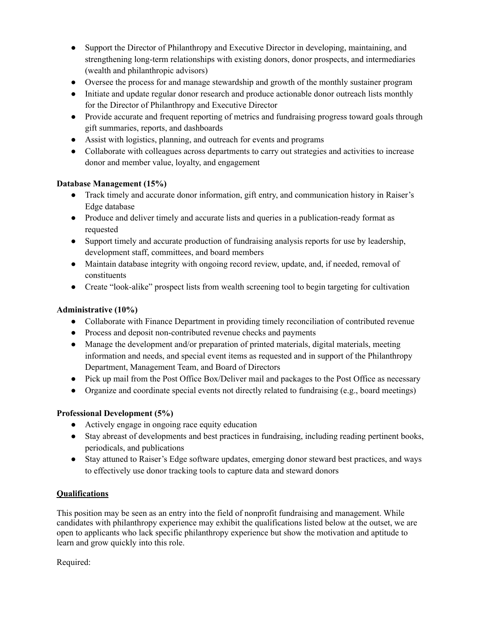- Support the Director of Philanthropy and Executive Director in developing, maintaining, and strengthening long-term relationships with existing donors, donor prospects, and intermediaries (wealth and philanthropic advisors)
- Oversee the process for and manage stewardship and growth of the monthly sustainer program
- Initiate and update regular donor research and produce actionable donor outreach lists monthly for the Director of Philanthropy and Executive Director
- Provide accurate and frequent reporting of metrics and fundraising progress toward goals through gift summaries, reports, and dashboards
- Assist with logistics, planning, and outreach for events and programs
- Collaborate with colleagues across departments to carry out strategies and activities to increase donor and member value, loyalty, and engagement

### **Database Management (15%)**

- Track timely and accurate donor information, gift entry, and communication history in Raiser's Edge database
- Produce and deliver timely and accurate lists and queries in a publication-ready format as requested
- Support timely and accurate production of fundraising analysis reports for use by leadership, development staff, committees, and board members
- Maintain database integrity with ongoing record review, update, and, if needed, removal of constituents
- Create "look-alike" prospect lists from wealth screening tool to begin targeting for cultivation

## **Administrative (10%)**

- Collaborate with Finance Department in providing timely reconciliation of contributed revenue
- Process and deposit non-contributed revenue checks and payments
- Manage the development and/or preparation of printed materials, digital materials, meeting information and needs, and special event items as requested and in support of the Philanthropy Department, Management Team, and Board of Directors
- Pick up mail from the Post Office Box/Deliver mail and packages to the Post Office as necessary
- Organize and coordinate special events not directly related to fundraising (e.g., board meetings)

### **Professional Development (5%)**

- Actively engage in ongoing race equity education
- Stay abreast of developments and best practices in fundraising, including reading pertinent books, periodicals, and publications
- Stay attuned to Raiser's Edge software updates, emerging donor steward best practices, and ways to effectively use donor tracking tools to capture data and steward donors

### **Qualifications**

This position may be seen as an entry into the field of nonprofit fundraising and management. While candidates with philanthropy experience may exhibit the qualifications listed below at the outset, we are open to applicants who lack specific philanthropy experience but show the motivation and aptitude to learn and grow quickly into this role.

Required: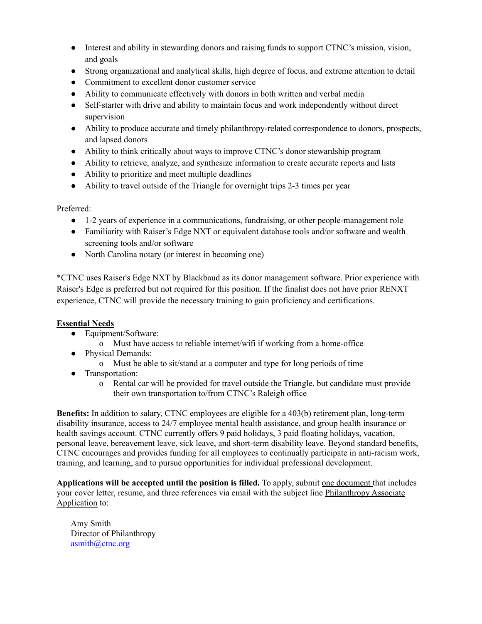- Interest and ability in stewarding donors and raising funds to support CTNC's mission, vision, and goals
- Strong organizational and analytical skills, high degree of focus, and extreme attention to detail
- Commitment to excellent donor customer service
- Ability to communicate effectively with donors in both written and verbal media
- Self-starter with drive and ability to maintain focus and work independently without direct supervision
- Ability to produce accurate and timely philanthropy-related correspondence to donors, prospects, and lapsed donors
- Ability to think critically about ways to improve CTNC's donor stewardship program
- Ability to retrieve, analyze, and synthesize information to create accurate reports and lists
- Ability to prioritize and meet multiple deadlines
- Ability to travel outside of the Triangle for overnight trips 2-3 times per year

Preferred:

- 1-2 years of experience in a communications, fundraising, or other people-management role
- Familiarity with Raiser's Edge NXT or equivalent database tools and/or software and wealth screening tools and/or software
- North Carolina notary (or interest in becoming one)

\*CTNC uses Raiser's Edge NXT by Blackbaud as its donor management software. Prior experience with Raiser's Edge is preferred but not required for this position. If the finalist does not have prior RENXT experience, CTNC will provide the necessary training to gain proficiency and certifications.

# **Essential Needs**

- Equipment/Software:
	- o Must have access to reliable internet/wifi if working from a home-office
- Physical Demands:
	- o Must be able to sit/stand at a computer and type for long periods of time
- Transportation:
	- o Rental car will be provided for travel outside the Triangle, but candidate must provide their own transportation to/from CTNC's Raleigh office

**Benefits:** In addition to salary, CTNC employees are eligible for a 403(b) retirement plan, long-term disability insurance, access to 24/7 employee mental health assistance, and group health insurance or health savings account. CTNC currently offers 9 paid holidays, 3 paid floating holidays, vacation, personal leave, bereavement leave, sick leave, and short-term disability leave. Beyond standard benefits, CTNC encourages and provides funding for all employees to continually participate in anti-racism work, training, and learning, and to pursue opportunities for individual professional development.

**Applications will be accepted until the position is filled.** To apply, submit one document that includes your cover letter, resume, and three references via email with the subject line Philanthropy Associate Application to:

Amy Smith Director of Philanthropy asmith@ctnc.org